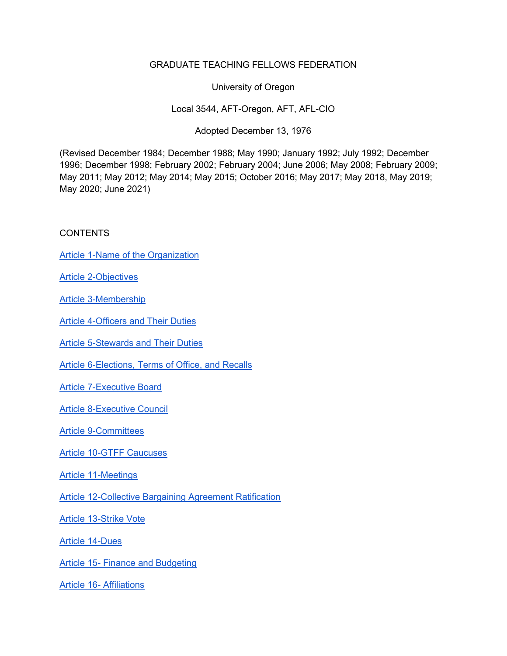## GRADUATE TEACHING FELLOWS FEDERATION

University of Oregon

Local 3544, AFT-Oregon, AFT, AFL-CIO

Adopted December 13, 1976

(Revised December 1984; December 1988; May 1990; January 1992; July 1992; December 1996; December 1998; February 2002; February 2004; June 2006; May 2008; February 2009; May 2011; May 2012; May 2014; May 2015; October 2016; May 2017; May 2018, May 2019; May 2020; June 2021)

## **CONTENTS**

Article 1-Name of the Organization

Article 2-Objectives

Article 3-Membership

Article 4-Officers and Their Duties

Article 5-Stewards and Their Duties

Article 6-Elections, Terms of Office, and Recalls

Article 7-Executive Board

Article 8-Executive Council

Article 9-Committees

Article 10-GTFF Caucuses

Article 11-Meetings

Article 12-Collective Bargaining Agreement Ratification

Article 13-Strike Vote

Article 14-Dues

Article 15- Finance and Budgeting

Article 16- Affiliations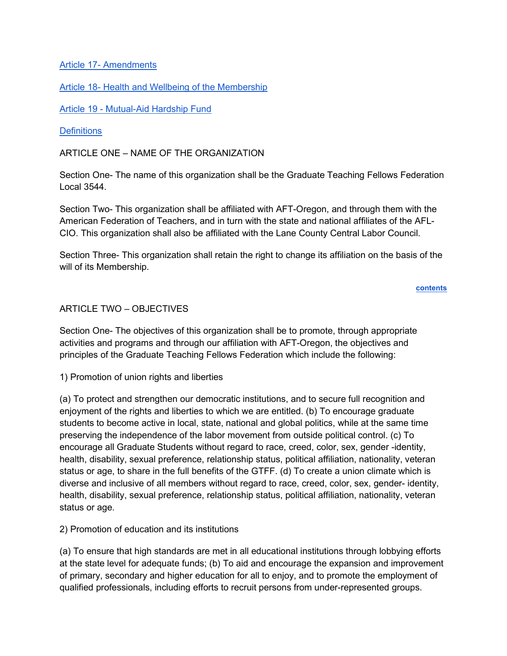Article 17- Amendments

Article 18- Health and Wellbeing of the Membership

Article 19 - Mutual-Aid Hardship Fund

#### **Definitions**

ARTICLE ONE – NAME OF THE ORGANIZATION

Section One- The name of this organization shall be the Graduate Teaching Fellows Federation Local 3544.

Section Two- This organization shall be affiliated with AFT-Oregon, and through them with the American Federation of Teachers, and in turn with the state and national affiliates of the AFL-CIO. This organization shall also be affiliated with the Lane County Central Labor Council.

Section Three- This organization shall retain the right to change its affiliation on the basis of the will of its Membership.

contents

#### ARTICLE TWO – OBJECTIVES

Section One- The objectives of this organization shall be to promote, through appropriate activities and programs and through our affiliation with AFT-Oregon, the objectives and principles of the Graduate Teaching Fellows Federation which include the following:

1) Promotion of union rights and liberties

(a) To protect and strengthen our democratic institutions, and to secure full recognition and enjoyment of the rights and liberties to which we are entitled. (b) To encourage graduate students to become active in local, state, national and global politics, while at the same time preserving the independence of the labor movement from outside political control. (c) To encourage all Graduate Students without regard to race, creed, color, sex, gender -identity, health, disability, sexual preference, relationship status, political affiliation, nationality, veteran status or age, to share in the full benefits of the GTFF. (d) To create a union climate which is diverse and inclusive of all members without regard to race, creed, color, sex, gender- identity, health, disability, sexual preference, relationship status, political affiliation, nationality, veteran status or age.

2) Promotion of education and its institutions

(a) To ensure that high standards are met in all educational institutions through lobbying efforts at the state level for adequate funds; (b) To aid and encourage the expansion and improvement of primary, secondary and higher education for all to enjoy, and to promote the employment of qualified professionals, including efforts to recruit persons from under-represented groups.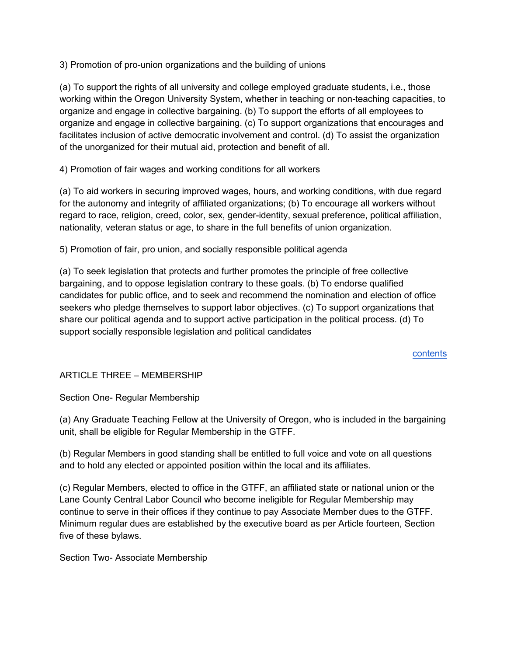3) Promotion of pro-union organizations and the building of unions

(a) To support the rights of all university and college employed graduate students, i.e., those working within the Oregon University System, whether in teaching or non-teaching capacities, to organize and engage in collective bargaining. (b) To support the efforts of all employees to organize and engage in collective bargaining. (c) To support organizations that encourages and facilitates inclusion of active democratic involvement and control. (d) To assist the organization of the unorganized for their mutual aid, protection and benefit of all.

4) Promotion of fair wages and working conditions for all workers

(a) To aid workers in securing improved wages, hours, and working conditions, with due regard for the autonomy and integrity of affiliated organizations; (b) To encourage all workers without regard to race, religion, creed, color, sex, gender-identity, sexual preference, political affiliation, nationality, veteran status or age, to share in the full benefits of union organization.

5) Promotion of fair, pro union, and socially responsible political agenda

(a) To seek legislation that protects and further promotes the principle of free collective bargaining, and to oppose legislation contrary to these goals. (b) To endorse qualified candidates for public office, and to seek and recommend the nomination and election of office seekers who pledge themselves to support labor objectives. (c) To support organizations that share our political agenda and to support active participation in the political process. (d) To support socially responsible legislation and political candidates

contents

## ARTICLE THREE – MEMBERSHIP

Section One- Regular Membership

(a) Any Graduate Teaching Fellow at the University of Oregon, who is included in the bargaining unit, shall be eligible for Regular Membership in the GTFF.

(b) Regular Members in good standing shall be entitled to full voice and vote on all questions and to hold any elected or appointed position within the local and its affiliates.

(c) Regular Members, elected to office in the GTFF, an affiliated state or national union or the Lane County Central Labor Council who become ineligible for Regular Membership may continue to serve in their offices if they continue to pay Associate Member dues to the GTFF. Minimum regular dues are established by the executive board as per Article fourteen, Section five of these bylaws.

Section Two- Associate Membership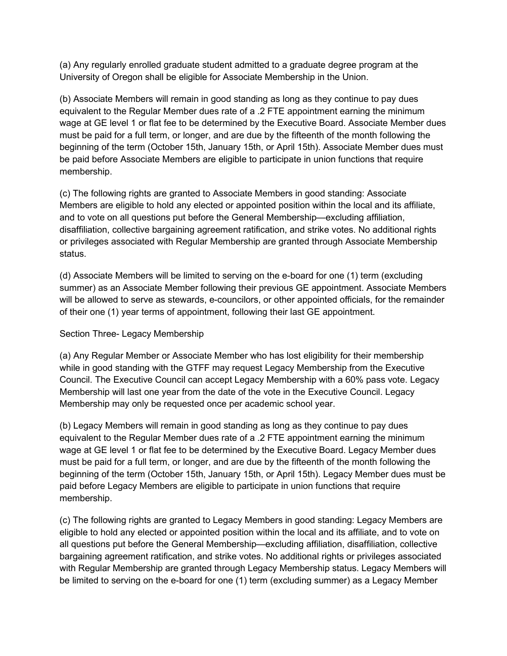(a) Any regularly enrolled graduate student admitted to a graduate degree program at the University of Oregon shall be eligible for Associate Membership in the Union.

(b) Associate Members will remain in good standing as long as they continue to pay dues equivalent to the Regular Member dues rate of a .2 FTE appointment earning the minimum wage at GE level 1 or flat fee to be determined by the Executive Board. Associate Member dues must be paid for a full term, or longer, and are due by the fifteenth of the month following the beginning of the term (October 15th, January 15th, or April 15th). Associate Member dues must be paid before Associate Members are eligible to participate in union functions that require membership.

(c) The following rights are granted to Associate Members in good standing: Associate Members are eligible to hold any elected or appointed position within the local and its affiliate, and to vote on all questions put before the General Membership—excluding affiliation, disaffiliation, collective bargaining agreement ratification, and strike votes. No additional rights or privileges associated with Regular Membership are granted through Associate Membership status.

(d) Associate Members will be limited to serving on the e-board for one (1) term (excluding summer) as an Associate Member following their previous GE appointment. Associate Members will be allowed to serve as stewards, e-councilors, or other appointed officials, for the remainder of their one (1) year terms of appointment, following their last GE appointment.

## Section Three- Legacy Membership

(a) Any Regular Member or Associate Member who has lost eligibility for their membership while in good standing with the GTFF may request Legacy Membership from the Executive Council. The Executive Council can accept Legacy Membership with a 60% pass vote. Legacy Membership will last one year from the date of the vote in the Executive Council. Legacy Membership may only be requested once per academic school year.

(b) Legacy Members will remain in good standing as long as they continue to pay dues equivalent to the Regular Member dues rate of a .2 FTE appointment earning the minimum wage at GE level 1 or flat fee to be determined by the Executive Board. Legacy Member dues must be paid for a full term, or longer, and are due by the fifteenth of the month following the beginning of the term (October 15th, January 15th, or April 15th). Legacy Member dues must be paid before Legacy Members are eligible to participate in union functions that require membership.

(c) The following rights are granted to Legacy Members in good standing: Legacy Members are eligible to hold any elected or appointed position within the local and its affiliate, and to vote on all questions put before the General Membership—excluding affiliation, disaffiliation, collective bargaining agreement ratification, and strike votes. No additional rights or privileges associated with Regular Membership are granted through Legacy Membership status. Legacy Members will be limited to serving on the e-board for one (1) term (excluding summer) as a Legacy Member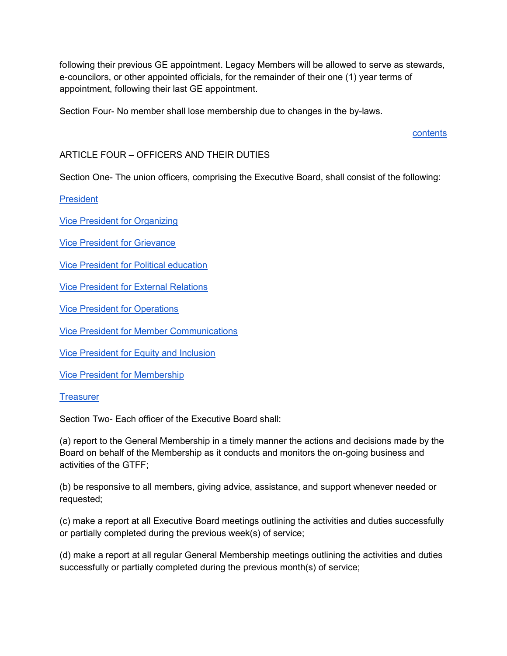following their previous GE appointment. Legacy Members will be allowed to serve as stewards, e-councilors, or other appointed officials, for the remainder of their one (1) year terms of appointment, following their last GE appointment.

Section Four- No member shall lose membership due to changes in the by-laws.

contents

## ARTICLE FOUR – OFFICERS AND THEIR DUTIES

Section One- The union officers, comprising the Executive Board, shall consist of the following:

**President** 

Vice President for Organizing

Vice President for Grievance

Vice President for Political education

Vice President for External Relations

Vice President for Operations

Vice President for Member Communications

Vice President for Equity and Inclusion

Vice President for Membership

**Treasurer** 

Section Two- Each officer of the Executive Board shall:

(a) report to the General Membership in a timely manner the actions and decisions made by the Board on behalf of the Membership as it conducts and monitors the on-going business and activities of the GTFF;

(b) be responsive to all members, giving advice, assistance, and support whenever needed or requested;

(c) make a report at all Executive Board meetings outlining the activities and duties successfully or partially completed during the previous week(s) of service;

(d) make a report at all regular General Membership meetings outlining the activities and duties successfully or partially completed during the previous month(s) of service;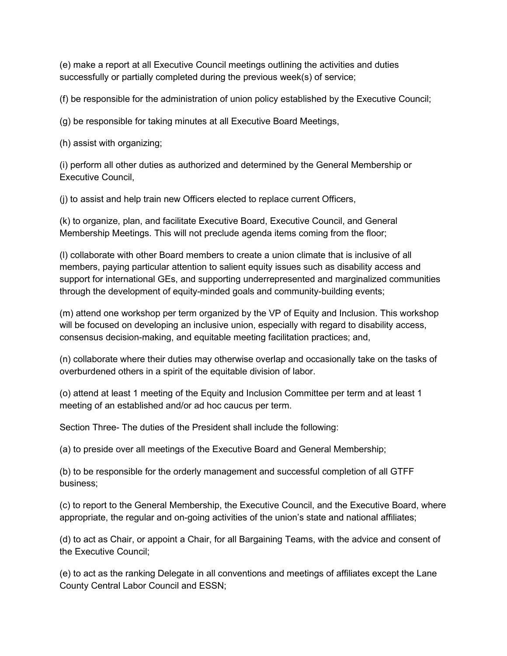(e) make a report at all Executive Council meetings outlining the activities and duties successfully or partially completed during the previous week(s) of service;

(f) be responsible for the administration of union policy established by the Executive Council;

(g) be responsible for taking minutes at all Executive Board Meetings,

(h) assist with organizing;

(i) perform all other duties as authorized and determined by the General Membership or Executive Council,

(j) to assist and help train new Officers elected to replace current Officers,

(k) to organize, plan, and facilitate Executive Board, Executive Council, and General Membership Meetings. This will not preclude agenda items coming from the floor;

(l) collaborate with other Board members to create a union climate that is inclusive of all members, paying particular attention to salient equity issues such as disability access and support for international GEs, and supporting underrepresented and marginalized communities through the development of equity-minded goals and community-building events;

(m) attend one workshop per term organized by the VP of Equity and Inclusion. This workshop will be focused on developing an inclusive union, especially with regard to disability access, consensus decision-making, and equitable meeting facilitation practices; and,

(n) collaborate where their duties may otherwise overlap and occasionally take on the tasks of overburdened others in a spirit of the equitable division of labor.

(o) attend at least 1 meeting of the Equity and Inclusion Committee per term and at least 1 meeting of an established and/or ad hoc caucus per term.

Section Three- The duties of the President shall include the following:

(a) to preside over all meetings of the Executive Board and General Membership;

(b) to be responsible for the orderly management and successful completion of all GTFF business;

(c) to report to the General Membership, the Executive Council, and the Executive Board, where appropriate, the regular and on-going activities of the union's state and national affiliates;

(d) to act as Chair, or appoint a Chair, for all Bargaining Teams, with the advice and consent of the Executive Council;

(e) to act as the ranking Delegate in all conventions and meetings of affiliates except the Lane County Central Labor Council and ESSN;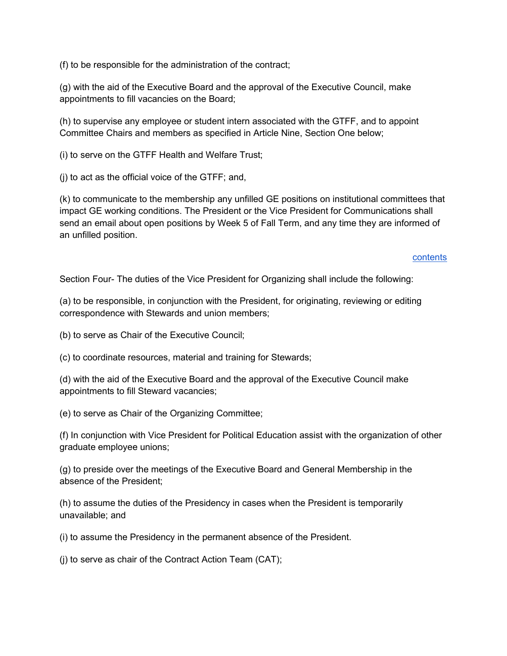(f) to be responsible for the administration of the contract;

(g) with the aid of the Executive Board and the approval of the Executive Council, make appointments to fill vacancies on the Board;

(h) to supervise any employee or student intern associated with the GTFF, and to appoint Committee Chairs and members as specified in Article Nine, Section One below;

(i) to serve on the GTFF Health and Welfare Trust;

(j) to act as the official voice of the GTFF; and,

(k) to communicate to the membership any unfilled GE positions on institutional committees that impact GE working conditions. The President or the Vice President for Communications shall send an email about open positions by Week 5 of Fall Term, and any time they are informed of an unfilled position.

#### contents

Section Four- The duties of the Vice President for Organizing shall include the following:

(a) to be responsible, in conjunction with the President, for originating, reviewing or editing correspondence with Stewards and union members;

(b) to serve as Chair of the Executive Council;

(c) to coordinate resources, material and training for Stewards;

(d) with the aid of the Executive Board and the approval of the Executive Council make appointments to fill Steward vacancies;

(e) to serve as Chair of the Organizing Committee;

(f) In conjunction with Vice President for Political Education assist with the organization of other graduate employee unions;

(g) to preside over the meetings of the Executive Board and General Membership in the absence of the President;

(h) to assume the duties of the Presidency in cases when the President is temporarily unavailable; and

(i) to assume the Presidency in the permanent absence of the President.

(j) to serve as chair of the Contract Action Team (CAT);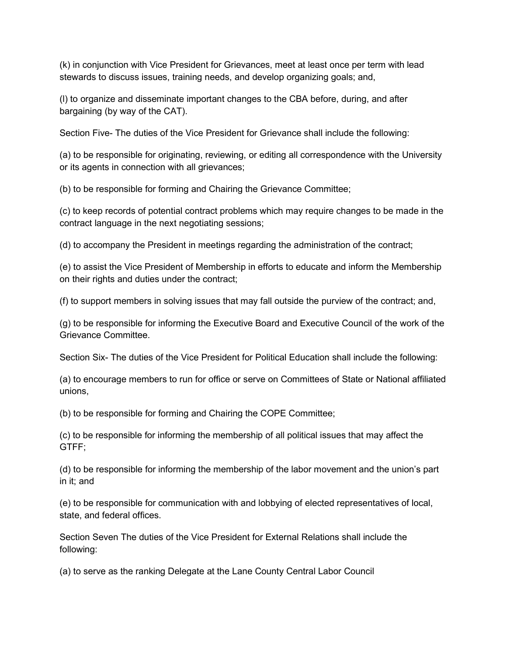(k) in conjunction with Vice President for Grievances, meet at least once per term with lead stewards to discuss issues, training needs, and develop organizing goals; and,

(l) to organize and disseminate important changes to the CBA before, during, and after bargaining (by way of the CAT).

Section Five- The duties of the Vice President for Grievance shall include the following:

(a) to be responsible for originating, reviewing, or editing all correspondence with the University or its agents in connection with all grievances;

(b) to be responsible for forming and Chairing the Grievance Committee;

(c) to keep records of potential contract problems which may require changes to be made in the contract language in the next negotiating sessions;

(d) to accompany the President in meetings regarding the administration of the contract;

(e) to assist the Vice President of Membership in efforts to educate and inform the Membership on their rights and duties under the contract;

(f) to support members in solving issues that may fall outside the purview of the contract; and,

(g) to be responsible for informing the Executive Board and Executive Council of the work of the Grievance Committee.

Section Six- The duties of the Vice President for Political Education shall include the following:

(a) to encourage members to run for office or serve on Committees of State or National affiliated unions,

(b) to be responsible for forming and Chairing the COPE Committee;

(c) to be responsible for informing the membership of all political issues that may affect the GTFF;

(d) to be responsible for informing the membership of the labor movement and the union's part in it; and

(e) to be responsible for communication with and lobbying of elected representatives of local, state, and federal offices.

Section Seven The duties of the Vice President for External Relations shall include the following:

(a) to serve as the ranking Delegate at the Lane County Central Labor Council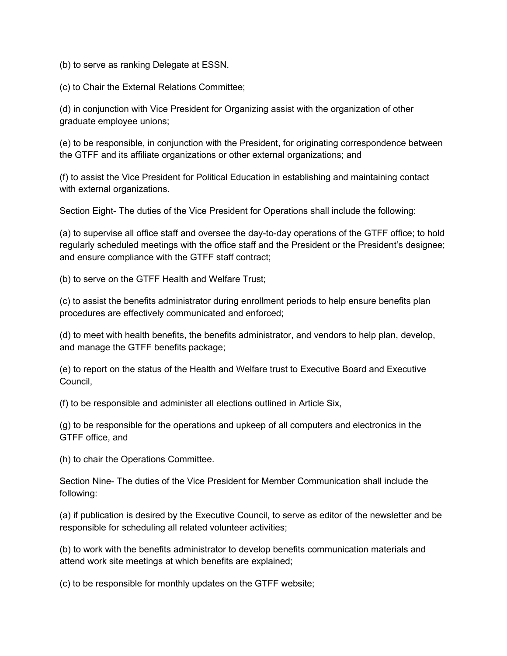(b) to serve as ranking Delegate at ESSN.

(c) to Chair the External Relations Committee;

(d) in conjunction with Vice President for Organizing assist with the organization of other graduate employee unions;

(e) to be responsible, in conjunction with the President, for originating correspondence between the GTFF and its affiliate organizations or other external organizations; and

(f) to assist the Vice President for Political Education in establishing and maintaining contact with external organizations.

Section Eight- The duties of the Vice President for Operations shall include the following:

(a) to supervise all office staff and oversee the day-to-day operations of the GTFF office; to hold regularly scheduled meetings with the office staff and the President or the President's designee; and ensure compliance with the GTFF staff contract;

(b) to serve on the GTFF Health and Welfare Trust;

(c) to assist the benefits administrator during enrollment periods to help ensure benefits plan procedures are effectively communicated and enforced;

(d) to meet with health benefits, the benefits administrator, and vendors to help plan, develop, and manage the GTFF benefits package;

(e) to report on the status of the Health and Welfare trust to Executive Board and Executive Council,

(f) to be responsible and administer all elections outlined in Article Six,

(g) to be responsible for the operations and upkeep of all computers and electronics in the GTFF office, and

(h) to chair the Operations Committee.

Section Nine- The duties of the Vice President for Member Communication shall include the following:

(a) if publication is desired by the Executive Council, to serve as editor of the newsletter and be responsible for scheduling all related volunteer activities;

(b) to work with the benefits administrator to develop benefits communication materials and attend work site meetings at which benefits are explained;

(c) to be responsible for monthly updates on the GTFF website;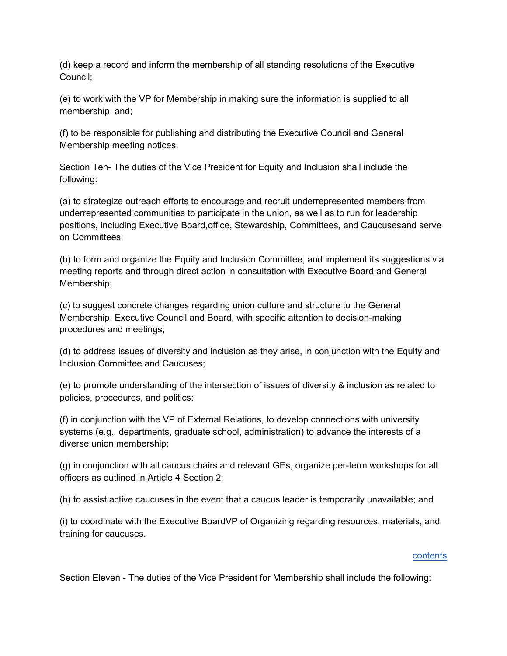(d) keep a record and inform the membership of all standing resolutions of the Executive Council;

(e) to work with the VP for Membership in making sure the information is supplied to all membership, and;

(f) to be responsible for publishing and distributing the Executive Council and General Membership meeting notices.

Section Ten- The duties of the Vice President for Equity and Inclusion shall include the following:

(a) to strategize outreach efforts to encourage and recruit underrepresented members from underrepresented communities to participate in the union, as well as to run for leadership positions, including Executive Board,office, Stewardship, Committees, and Caucusesand serve on Committees;

(b) to form and organize the Equity and Inclusion Committee, and implement its suggestions via meeting reports and through direct action in consultation with Executive Board and General Membership;

(c) to suggest concrete changes regarding union culture and structure to the General Membership, Executive Council and Board, with specific attention to decision-making procedures and meetings;

(d) to address issues of diversity and inclusion as they arise, in conjunction with the Equity and Inclusion Committee and Caucuses;

(e) to promote understanding of the intersection of issues of diversity & inclusion as related to policies, procedures, and politics;

(f) in conjunction with the VP of External Relations, to develop connections with university systems (e.g., departments, graduate school, administration) to advance the interests of a diverse union membership;

(g) in conjunction with all caucus chairs and relevant GEs, organize per-term workshops for all officers as outlined in Article 4 Section 2;

(h) to assist active caucuses in the event that a caucus leader is temporarily unavailable; and

(i) to coordinate with the Executive BoardVP of Organizing regarding resources, materials, and training for caucuses.

#### **contents**

Section Eleven - The duties of the Vice President for Membership shall include the following: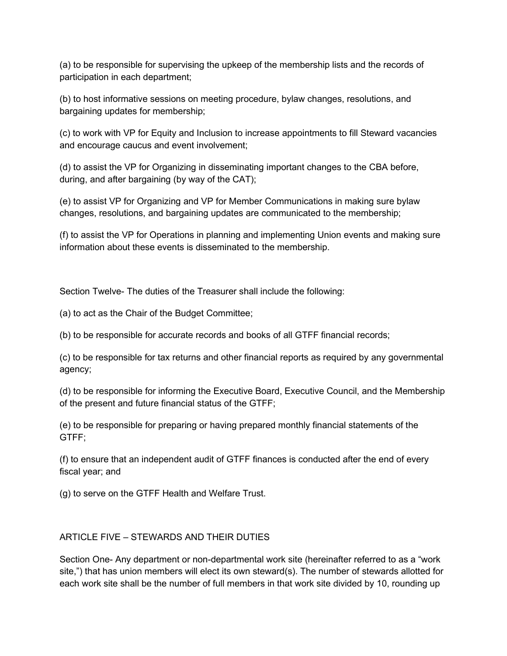(a) to be responsible for supervising the upkeep of the membership lists and the records of participation in each department;

(b) to host informative sessions on meeting procedure, bylaw changes, resolutions, and bargaining updates for membership;

(c) to work with VP for Equity and Inclusion to increase appointments to fill Steward vacancies and encourage caucus and event involvement;

(d) to assist the VP for Organizing in disseminating important changes to the CBA before, during, and after bargaining (by way of the CAT);

(e) to assist VP for Organizing and VP for Member Communications in making sure bylaw changes, resolutions, and bargaining updates are communicated to the membership;

(f) to assist the VP for Operations in planning and implementing Union events and making sure information about these events is disseminated to the membership.

Section Twelve- The duties of the Treasurer shall include the following:

(a) to act as the Chair of the Budget Committee;

(b) to be responsible for accurate records and books of all GTFF financial records;

(c) to be responsible for tax returns and other financial reports as required by any governmental agency;

(d) to be responsible for informing the Executive Board, Executive Council, and the Membership of the present and future financial status of the GTFF;

(e) to be responsible for preparing or having prepared monthly financial statements of the GTFF;

(f) to ensure that an independent audit of GTFF finances is conducted after the end of every fiscal year; and

(g) to serve on the GTFF Health and Welfare Trust.

## ARTICLE FIVE – STEWARDS AND THEIR DUTIES

Section One- Any department or non-departmental work site (hereinafter referred to as a "work site,") that has union members will elect its own steward(s). The number of stewards allotted for each work site shall be the number of full members in that work site divided by 10, rounding up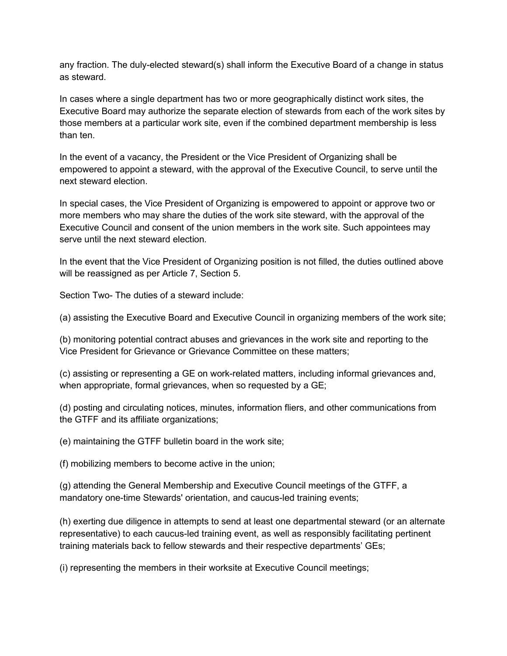any fraction. The duly-elected steward(s) shall inform the Executive Board of a change in status as steward.

In cases where a single department has two or more geographically distinct work sites, the Executive Board may authorize the separate election of stewards from each of the work sites by those members at a particular work site, even if the combined department membership is less than ten.

In the event of a vacancy, the President or the Vice President of Organizing shall be empowered to appoint a steward, with the approval of the Executive Council, to serve until the next steward election.

In special cases, the Vice President of Organizing is empowered to appoint or approve two or more members who may share the duties of the work site steward, with the approval of the Executive Council and consent of the union members in the work site. Such appointees may serve until the next steward election.

In the event that the Vice President of Organizing position is not filled, the duties outlined above will be reassigned as per Article 7, Section 5.

Section Two- The duties of a steward include:

(a) assisting the Executive Board and Executive Council in organizing members of the work site;

(b) monitoring potential contract abuses and grievances in the work site and reporting to the Vice President for Grievance or Grievance Committee on these matters;

(c) assisting or representing a GE on work-related matters, including informal grievances and, when appropriate, formal grievances, when so requested by a GE;

(d) posting and circulating notices, minutes, information fliers, and other communications from the GTFF and its affiliate organizations;

(e) maintaining the GTFF bulletin board in the work site;

(f) mobilizing members to become active in the union;

(g) attending the General Membership and Executive Council meetings of the GTFF, a mandatory one-time Stewards' orientation, and caucus-led training events;

(h) exerting due diligence in attempts to send at least one departmental steward (or an alternate representative) to each caucus-led training event, as well as responsibly facilitating pertinent training materials back to fellow stewards and their respective departments' GEs;

(i) representing the members in their worksite at Executive Council meetings;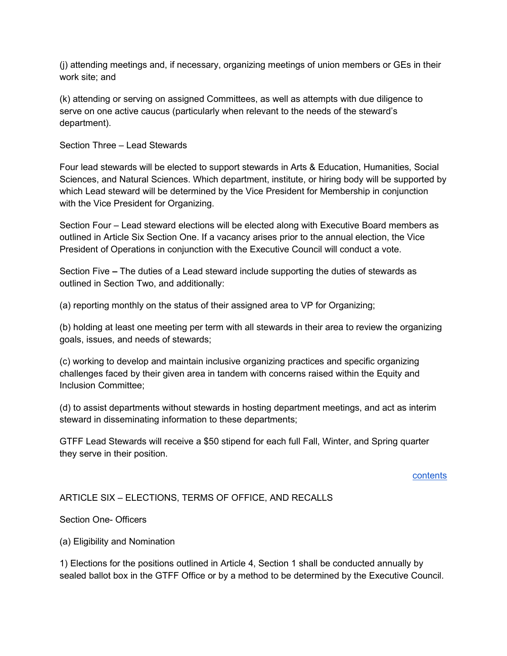(j) attending meetings and, if necessary, organizing meetings of union members or GEs in their work site; and

(k) attending or serving on assigned Committees, as well as attempts with due diligence to serve on one active caucus (particularly when relevant to the needs of the steward's department).

Section Three – Lead Stewards

Four lead stewards will be elected to support stewards in Arts & Education, Humanities, Social Sciences, and Natural Sciences. Which department, institute, or hiring body will be supported by which Lead steward will be determined by the Vice President for Membership in conjunction with the Vice President for Organizing.

Section Four – Lead steward elections will be elected along with Executive Board members as outlined in Article Six Section One. If a vacancy arises prior to the annual election, the Vice President of Operations in conjunction with the Executive Council will conduct a vote.

Section Five – The duties of a Lead steward include supporting the duties of stewards as outlined in Section Two, and additionally:

(a) reporting monthly on the status of their assigned area to VP for Organizing;

(b) holding at least one meeting per term with all stewards in their area to review the organizing goals, issues, and needs of stewards;

(c) working to develop and maintain inclusive organizing practices and specific organizing challenges faced by their given area in tandem with concerns raised within the Equity and Inclusion Committee;

(d) to assist departments without stewards in hosting department meetings, and act as interim steward in disseminating information to these departments;

GTFF Lead Stewards will receive a \$50 stipend for each full Fall, Winter, and Spring quarter they serve in their position.

#### contents

## ARTICLE SIX – ELECTIONS, TERMS OF OFFICE, AND RECALLS

Section One- Officers

(a) Eligibility and Nomination

1) Elections for the positions outlined in Article 4, Section 1 shall be conducted annually by sealed ballot box in the GTFF Office or by a method to be determined by the Executive Council.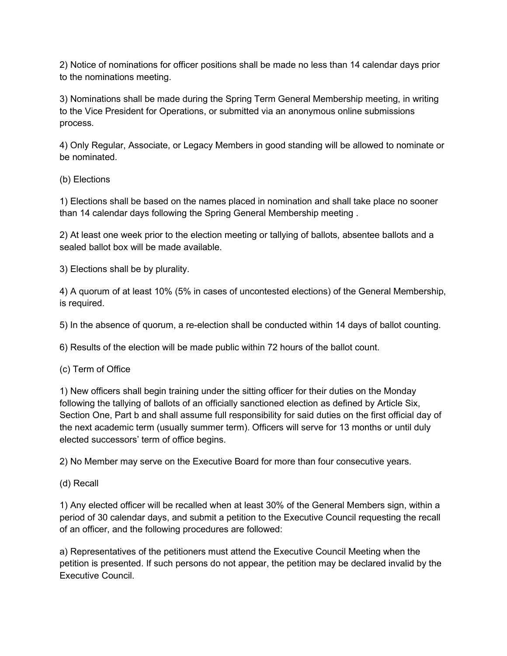2) Notice of nominations for officer positions shall be made no less than 14 calendar days prior to the nominations meeting.

3) Nominations shall be made during the Spring Term General Membership meeting, in writing to the Vice President for Operations, or submitted via an anonymous online submissions process.

4) Only Regular, Associate, or Legacy Members in good standing will be allowed to nominate or be nominated.

## (b) Elections

1) Elections shall be based on the names placed in nomination and shall take place no sooner than 14 calendar days following the Spring General Membership meeting .

2) At least one week prior to the election meeting or tallying of ballots, absentee ballots and a sealed ballot box will be made available.

3) Elections shall be by plurality.

4) A quorum of at least 10% (5% in cases of uncontested elections) of the General Membership, is required.

5) In the absence of quorum, a re-election shall be conducted within 14 days of ballot counting.

6) Results of the election will be made public within 72 hours of the ballot count.

## (c) Term of Office

1) New officers shall begin training under the sitting officer for their duties on the Monday following the tallying of ballots of an officially sanctioned election as defined by Article Six, Section One, Part b and shall assume full responsibility for said duties on the first official day of the next academic term (usually summer term). Officers will serve for 13 months or until duly elected successors' term of office begins.

2) No Member may serve on the Executive Board for more than four consecutive years.

(d) Recall

1) Any elected officer will be recalled when at least 30% of the General Members sign, within a period of 30 calendar days, and submit a petition to the Executive Council requesting the recall of an officer, and the following procedures are followed:

a) Representatives of the petitioners must attend the Executive Council Meeting when the petition is presented. If such persons do not appear, the petition may be declared invalid by the Executive Council.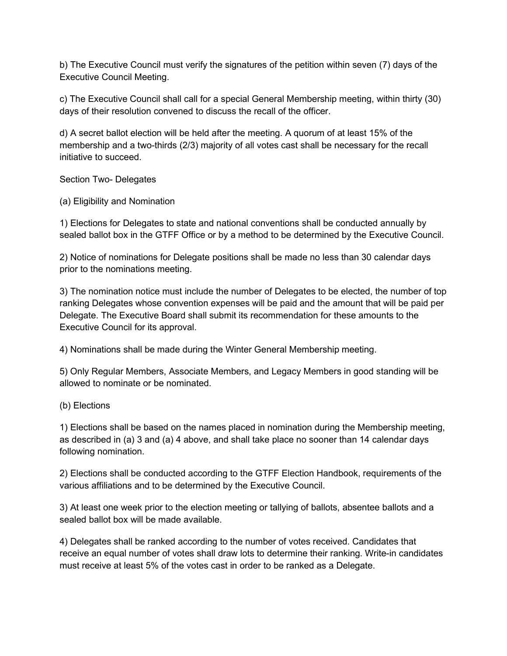b) The Executive Council must verify the signatures of the petition within seven (7) days of the Executive Council Meeting.

c) The Executive Council shall call for a special General Membership meeting, within thirty (30) days of their resolution convened to discuss the recall of the officer.

d) A secret ballot election will be held after the meeting. A quorum of at least 15% of the membership and a two-thirds (2/3) majority of all votes cast shall be necessary for the recall initiative to succeed.

Section Two- Delegates

(a) Eligibility and Nomination

1) Elections for Delegates to state and national conventions shall be conducted annually by sealed ballot box in the GTFF Office or by a method to be determined by the Executive Council.

2) Notice of nominations for Delegate positions shall be made no less than 30 calendar days prior to the nominations meeting.

3) The nomination notice must include the number of Delegates to be elected, the number of top ranking Delegates whose convention expenses will be paid and the amount that will be paid per Delegate. The Executive Board shall submit its recommendation for these amounts to the Executive Council for its approval.

4) Nominations shall be made during the Winter General Membership meeting.

5) Only Regular Members, Associate Members, and Legacy Members in good standing will be allowed to nominate or be nominated.

(b) Elections

1) Elections shall be based on the names placed in nomination during the Membership meeting, as described in (a) 3 and (a) 4 above, and shall take place no sooner than 14 calendar days following nomination.

2) Elections shall be conducted according to the GTFF Election Handbook, requirements of the various affiliations and to be determined by the Executive Council.

3) At least one week prior to the election meeting or tallying of ballots, absentee ballots and a sealed ballot box will be made available.

4) Delegates shall be ranked according to the number of votes received. Candidates that receive an equal number of votes shall draw lots to determine their ranking. Write-in candidates must receive at least 5% of the votes cast in order to be ranked as a Delegate.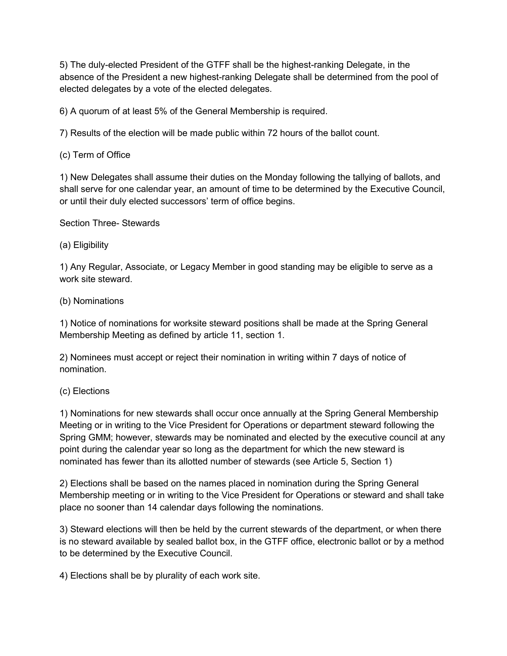5) The duly-elected President of the GTFF shall be the highest-ranking Delegate, in the absence of the President a new highest-ranking Delegate shall be determined from the pool of elected delegates by a vote of the elected delegates.

6) A quorum of at least 5% of the General Membership is required.

7) Results of the election will be made public within 72 hours of the ballot count.

(c) Term of Office

1) New Delegates shall assume their duties on the Monday following the tallying of ballots, and shall serve for one calendar year, an amount of time to be determined by the Executive Council, or until their duly elected successors' term of office begins.

Section Three- Stewards

(a) Eligibility

1) Any Regular, Associate, or Legacy Member in good standing may be eligible to serve as a work site steward.

#### (b) Nominations

1) Notice of nominations for worksite steward positions shall be made at the Spring General Membership Meeting as defined by article 11, section 1.

2) Nominees must accept or reject their nomination in writing within 7 days of notice of nomination.

## (c) Elections

1) Nominations for new stewards shall occur once annually at the Spring General Membership Meeting or in writing to the Vice President for Operations or department steward following the Spring GMM; however, stewards may be nominated and elected by the executive council at any point during the calendar year so long as the department for which the new steward is nominated has fewer than its allotted number of stewards (see Article 5, Section 1)

2) Elections shall be based on the names placed in nomination during the Spring General Membership meeting or in writing to the Vice President for Operations or steward and shall take place no sooner than 14 calendar days following the nominations.

3) Steward elections will then be held by the current stewards of the department, or when there is no steward available by sealed ballot box, in the GTFF office, electronic ballot or by a method to be determined by the Executive Council.

4) Elections shall be by plurality of each work site.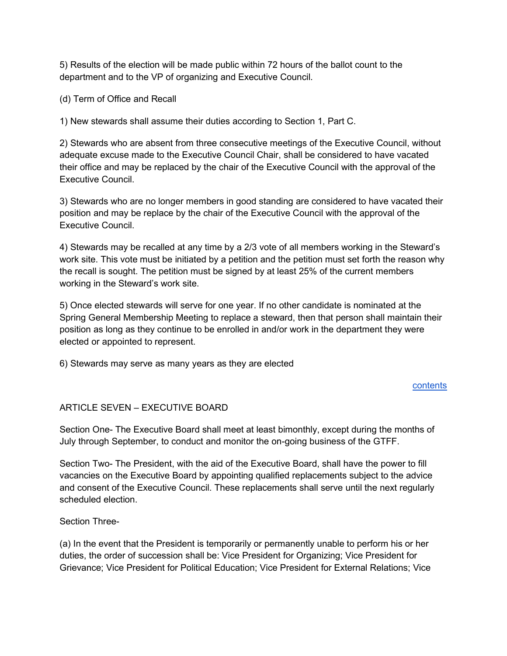5) Results of the election will be made public within 72 hours of the ballot count to the department and to the VP of organizing and Executive Council.

(d) Term of Office and Recall

1) New stewards shall assume their duties according to Section 1, Part C.

2) Stewards who are absent from three consecutive meetings of the Executive Council, without adequate excuse made to the Executive Council Chair, shall be considered to have vacated their office and may be replaced by the chair of the Executive Council with the approval of the Executive Council.

3) Stewards who are no longer members in good standing are considered to have vacated their position and may be replace by the chair of the Executive Council with the approval of the Executive Council.

4) Stewards may be recalled at any time by a 2/3 vote of all members working in the Steward's work site. This vote must be initiated by a petition and the petition must set forth the reason why the recall is sought. The petition must be signed by at least 25% of the current members working in the Steward's work site.

5) Once elected stewards will serve for one year. If no other candidate is nominated at the Spring General Membership Meeting to replace a steward, then that person shall maintain their position as long as they continue to be enrolled in and/or work in the department they were elected or appointed to represent.

6) Stewards may serve as many years as they are elected

## contents

## ARTICLE SEVEN – EXECUTIVE BOARD

Section One- The Executive Board shall meet at least bimonthly, except during the months of July through September, to conduct and monitor the on-going business of the GTFF.

Section Two- The President, with the aid of the Executive Board, shall have the power to fill vacancies on the Executive Board by appointing qualified replacements subject to the advice and consent of the Executive Council. These replacements shall serve until the next regularly scheduled election.

Section Three-

(a) In the event that the President is temporarily or permanently unable to perform his or her duties, the order of succession shall be: Vice President for Organizing; Vice President for Grievance; Vice President for Political Education; Vice President for External Relations; Vice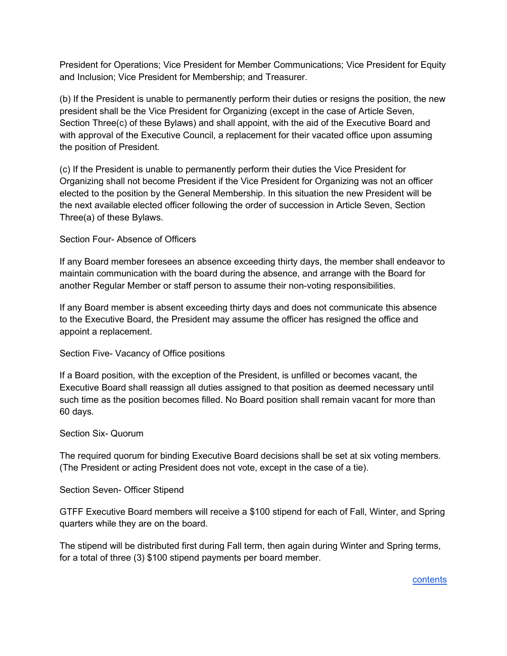President for Operations; Vice President for Member Communications; Vice President for Equity and Inclusion; Vice President for Membership; and Treasurer.

(b) If the President is unable to permanently perform their duties or resigns the position, the new president shall be the Vice President for Organizing (except in the case of Article Seven, Section Three(c) of these Bylaws) and shall appoint, with the aid of the Executive Board and with approval of the Executive Council, a replacement for their vacated office upon assuming the position of President.

(c) If the President is unable to permanently perform their duties the Vice President for Organizing shall not become President if the Vice President for Organizing was not an officer elected to the position by the General Membership. In this situation the new President will be the next available elected officer following the order of succession in Article Seven, Section Three(a) of these Bylaws.

## Section Four- Absence of Officers

If any Board member foresees an absence exceeding thirty days, the member shall endeavor to maintain communication with the board during the absence, and arrange with the Board for another Regular Member or staff person to assume their non-voting responsibilities.

If any Board member is absent exceeding thirty days and does not communicate this absence to the Executive Board, the President may assume the officer has resigned the office and appoint a replacement.

## Section Five- Vacancy of Office positions

If a Board position, with the exception of the President, is unfilled or becomes vacant, the Executive Board shall reassign all duties assigned to that position as deemed necessary until such time as the position becomes filled. No Board position shall remain vacant for more than 60 days.

## Section Six- Quorum

The required quorum for binding Executive Board decisions shall be set at six voting members. (The President or acting President does not vote, except in the case of a tie).

## Section Seven- Officer Stipend

GTFF Executive Board members will receive a \$100 stipend for each of Fall, Winter, and Spring quarters while they are on the board.

The stipend will be distributed first during Fall term, then again during Winter and Spring terms, for a total of three (3) \$100 stipend payments per board member.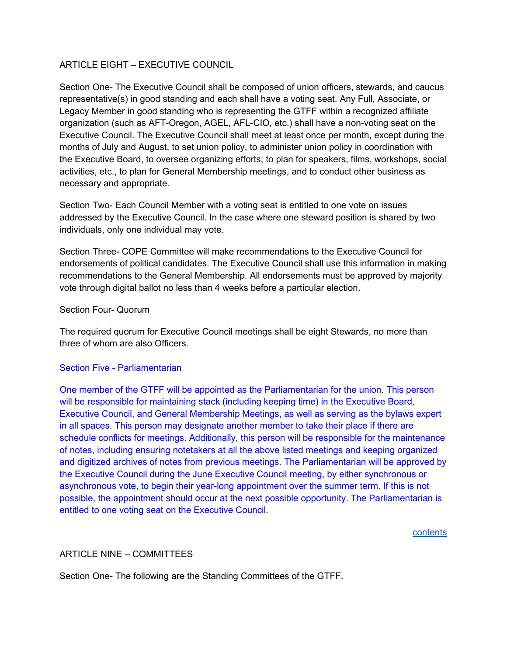## ARTICLE EIGHT – EXECUTIVE COUNCIL

Section One- The Executive Council shall be composed of union officers, stewards, and caucus representative(s) in good standing and each shall have a voting seat. Any Full, Associate, or Legacy Member in good standing who is representing the GTFF within a recognized affiliate organization (such as AFT-Oregon, AGEL, AFL-CIO, etc.) shall have a non-voting seat on the Executive Council. The Executive Council shall meet at least once per month, except during the months of July and August, to set union policy, to administer union policy in coordination with the Executive Board, to oversee organizing efforts, to plan for speakers, films, workshops, social activities, etc., to plan for General Membership meetings, and to conduct other business as necessary and appropriate.

Section Two- Each Council Member with a voting seat is entitled to one vote on issues addressed by the Executive Council. In the case where one steward position is shared by two individuals, only one individual may vote.

Section Three- COPE Committee will make recommendations to the Executive Council for endorsements of political candidates. The Executive Council shall use this information in making recommendations to the General Membership. All endorsements must be approved by majority vote through digital ballot no less than 4 weeks before a particular election.

#### Section Four- Quorum

The required quorum for Executive Council meetings shall be eight Stewards, no more than three of whom are also Officers.

## Section Five - Parliamentarian

One member of the GTFF will be appointed as the Parliamentarian for the union. This person will be responsible for maintaining stack (including keeping time) in the Executive Board, Executive Council, and General Membership Meetings, as well as serving as the bylaws expert in all spaces. This person may designate another member to take their place if there are schedule conflicts for meetings. Additionally, this person will be responsible for the maintenance of notes, including ensuring notetakers at all the above listed meetings and keeping organized and digitized archives of notes from previous meetings. The Parliamentarian will be approved by the Executive Council during the June Executive Council meeting, by either synchronous or asynchronous vote, to begin their year-long appointment over the summer term. If this is not possible, the appointment should occur at the next possible opportunity. The Parliamentarian is entitled to one voting seat on the Executive Council.

contents

## ARTICLE NINE – COMMITTEES

Section One- The following are the Standing Committees of the GTFF.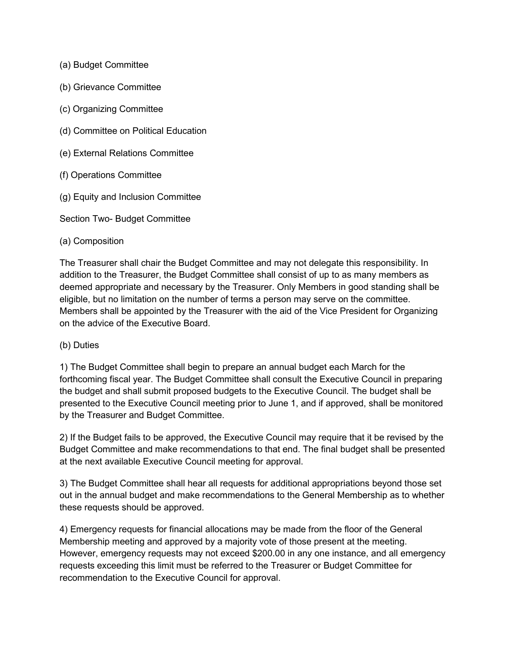- (a) Budget Committee
- (b) Grievance Committee
- (c) Organizing Committee
- (d) Committee on Political Education
- (e) External Relations Committee
- (f) Operations Committee
- (g) Equity and Inclusion Committee

Section Two- Budget Committee

#### (a) Composition

The Treasurer shall chair the Budget Committee and may not delegate this responsibility. In addition to the Treasurer, the Budget Committee shall consist of up to as many members as deemed appropriate and necessary by the Treasurer. Only Members in good standing shall be eligible, but no limitation on the number of terms a person may serve on the committee. Members shall be appointed by the Treasurer with the aid of the Vice President for Organizing on the advice of the Executive Board.

#### (b) Duties

1) The Budget Committee shall begin to prepare an annual budget each March for the forthcoming fiscal year. The Budget Committee shall consult the Executive Council in preparing the budget and shall submit proposed budgets to the Executive Council. The budget shall be presented to the Executive Council meeting prior to June 1, and if approved, shall be monitored by the Treasurer and Budget Committee.

2) If the Budget fails to be approved, the Executive Council may require that it be revised by the Budget Committee and make recommendations to that end. The final budget shall be presented at the next available Executive Council meeting for approval.

3) The Budget Committee shall hear all requests for additional appropriations beyond those set out in the annual budget and make recommendations to the General Membership as to whether these requests should be approved.

4) Emergency requests for financial allocations may be made from the floor of the General Membership meeting and approved by a majority vote of those present at the meeting. However, emergency requests may not exceed \$200.00 in any one instance, and all emergency requests exceeding this limit must be referred to the Treasurer or Budget Committee for recommendation to the Executive Council for approval.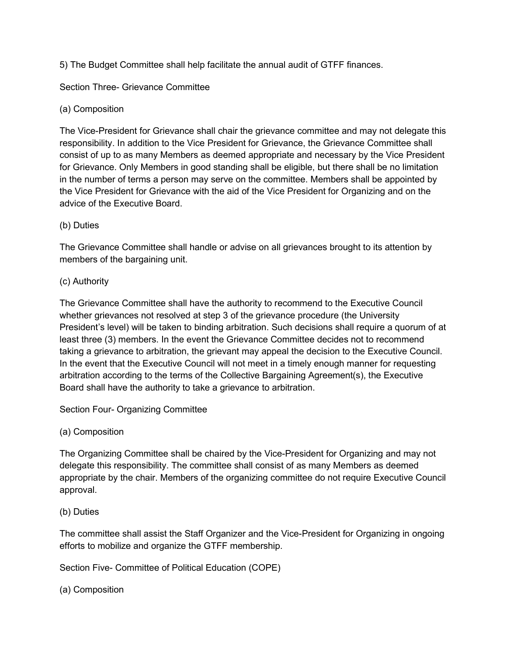5) The Budget Committee shall help facilitate the annual audit of GTFF finances.

Section Three- Grievance Committee

# (a) Composition

The Vice-President for Grievance shall chair the grievance committee and may not delegate this responsibility. In addition to the Vice President for Grievance, the Grievance Committee shall consist of up to as many Members as deemed appropriate and necessary by the Vice President for Grievance. Only Members in good standing shall be eligible, but there shall be no limitation in the number of terms a person may serve on the committee. Members shall be appointed by the Vice President for Grievance with the aid of the Vice President for Organizing and on the advice of the Executive Board.

# (b) Duties

The Grievance Committee shall handle or advise on all grievances brought to its attention by members of the bargaining unit.

## (c) Authority

The Grievance Committee shall have the authority to recommend to the Executive Council whether grievances not resolved at step 3 of the grievance procedure (the University President's level) will be taken to binding arbitration. Such decisions shall require a quorum of at least three (3) members. In the event the Grievance Committee decides not to recommend taking a grievance to arbitration, the grievant may appeal the decision to the Executive Council. In the event that the Executive Council will not meet in a timely enough manner for requesting arbitration according to the terms of the Collective Bargaining Agreement(s), the Executive Board shall have the authority to take a grievance to arbitration.

Section Four- Organizing Committee

## (a) Composition

The Organizing Committee shall be chaired by the Vice-President for Organizing and may not delegate this responsibility. The committee shall consist of as many Members as deemed appropriate by the chair. Members of the organizing committee do not require Executive Council approval.

## (b) Duties

The committee shall assist the Staff Organizer and the Vice-President for Organizing in ongoing efforts to mobilize and organize the GTFF membership.

Section Five- Committee of Political Education (COPE)

(a) Composition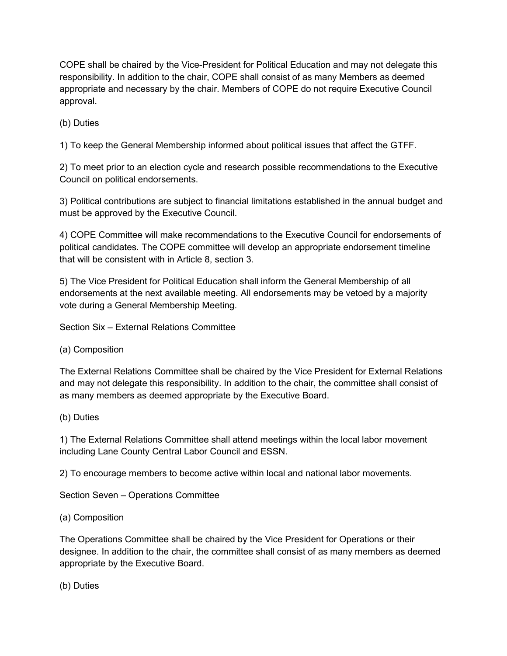COPE shall be chaired by the Vice-President for Political Education and may not delegate this responsibility. In addition to the chair, COPE shall consist of as many Members as deemed appropriate and necessary by the chair. Members of COPE do not require Executive Council approval.

# (b) Duties

1) To keep the General Membership informed about political issues that affect the GTFF.

2) To meet prior to an election cycle and research possible recommendations to the Executive Council on political endorsements.

3) Political contributions are subject to financial limitations established in the annual budget and must be approved by the Executive Council.

4) COPE Committee will make recommendations to the Executive Council for endorsements of political candidates. The COPE committee will develop an appropriate endorsement timeline that will be consistent with in Article 8, section 3.

5) The Vice President for Political Education shall inform the General Membership of all endorsements at the next available meeting. All endorsements may be vetoed by a majority vote during a General Membership Meeting.

Section Six – External Relations Committee

## (a) Composition

The External Relations Committee shall be chaired by the Vice President for External Relations and may not delegate this responsibility. In addition to the chair, the committee shall consist of as many members as deemed appropriate by the Executive Board.

## (b) Duties

1) The External Relations Committee shall attend meetings within the local labor movement including Lane County Central Labor Council and ESSN.

2) To encourage members to become active within local and national labor movements.

Section Seven – Operations Committee

# (a) Composition

The Operations Committee shall be chaired by the Vice President for Operations or their designee. In addition to the chair, the committee shall consist of as many members as deemed appropriate by the Executive Board.

(b) Duties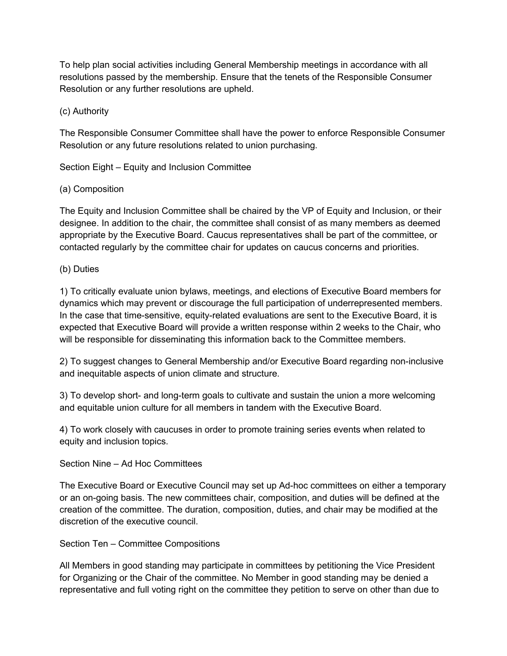To help plan social activities including General Membership meetings in accordance with all resolutions passed by the membership. Ensure that the tenets of the Responsible Consumer Resolution or any further resolutions are upheld.

## (c) Authority

The Responsible Consumer Committee shall have the power to enforce Responsible Consumer Resolution or any future resolutions related to union purchasing.

Section Eight – Equity and Inclusion Committee

# (a) Composition

The Equity and Inclusion Committee shall be chaired by the VP of Equity and Inclusion, or their designee. In addition to the chair, the committee shall consist of as many members as deemed appropriate by the Executive Board. Caucus representatives shall be part of the committee, or contacted regularly by the committee chair for updates on caucus concerns and priorities.

# (b) Duties

1) To critically evaluate union bylaws, meetings, and elections of Executive Board members for dynamics which may prevent or discourage the full participation of underrepresented members. In the case that time-sensitive, equity-related evaluations are sent to the Executive Board, it is expected that Executive Board will provide a written response within 2 weeks to the Chair, who will be responsible for disseminating this information back to the Committee members.

2) To suggest changes to General Membership and/or Executive Board regarding non-inclusive and inequitable aspects of union climate and structure.

3) To develop short- and long-term goals to cultivate and sustain the union a more welcoming and equitable union culture for all members in tandem with the Executive Board.

4) To work closely with caucuses in order to promote training series events when related to equity and inclusion topics.

Section Nine – Ad Hoc Committees

The Executive Board or Executive Council may set up Ad-hoc committees on either a temporary or an on-going basis. The new committees chair, composition, and duties will be defined at the creation of the committee. The duration, composition, duties, and chair may be modified at the discretion of the executive council.

Section Ten – Committee Compositions

All Members in good standing may participate in committees by petitioning the Vice President for Organizing or the Chair of the committee. No Member in good standing may be denied a representative and full voting right on the committee they petition to serve on other than due to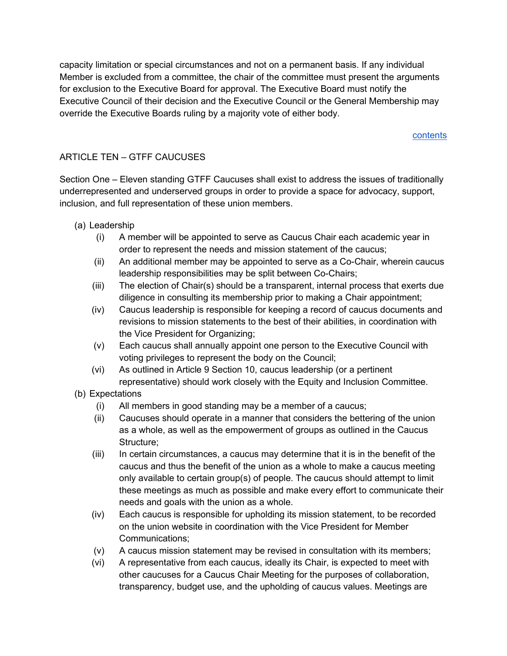capacity limitation or special circumstances and not on a permanent basis. If any individual Member is excluded from a committee, the chair of the committee must present the arguments for exclusion to the Executive Board for approval. The Executive Board must notify the Executive Council of their decision and the Executive Council or the General Membership may override the Executive Boards ruling by a majority vote of either body.

### contents

## ARTICLE TEN – GTFF CAUCUSES

Section One – Eleven standing GTFF Caucuses shall exist to address the issues of traditionally underrepresented and underserved groups in order to provide a space for advocacy, support, inclusion, and full representation of these union members.

- (a) Leadership
	- (i) A member will be appointed to serve as Caucus Chair each academic year in order to represent the needs and mission statement of the caucus;
	- (ii) An additional member may be appointed to serve as a Co-Chair, wherein caucus leadership responsibilities may be split between Co-Chairs;
	- (iii) The election of Chair(s) should be a transparent, internal process that exerts due diligence in consulting its membership prior to making a Chair appointment;
	- (iv) Caucus leadership is responsible for keeping a record of caucus documents and revisions to mission statements to the best of their abilities, in coordination with the Vice President for Organizing;
	- (v) Each caucus shall annually appoint one person to the Executive Council with voting privileges to represent the body on the Council;
	- (vi) As outlined in Article 9 Section 10, caucus leadership (or a pertinent representative) should work closely with the Equity and Inclusion Committee.
- (b) Expectations
	- (i) All members in good standing may be a member of a caucus;
	- (ii) Caucuses should operate in a manner that considers the bettering of the union as a whole, as well as the empowerment of groups as outlined in the Caucus Structure;
	- (iii) In certain circumstances, a caucus may determine that it is in the benefit of the caucus and thus the benefit of the union as a whole to make a caucus meeting only available to certain group(s) of people. The caucus should attempt to limit these meetings as much as possible and make every effort to communicate their needs and goals with the union as a whole.
	- (iv) Each caucus is responsible for upholding its mission statement, to be recorded on the union website in coordination with the Vice President for Member Communications;
	- (v) A caucus mission statement may be revised in consultation with its members;
	- (vi) A representative from each caucus, ideally its Chair, is expected to meet with other caucuses for a Caucus Chair Meeting for the purposes of collaboration, transparency, budget use, and the upholding of caucus values. Meetings are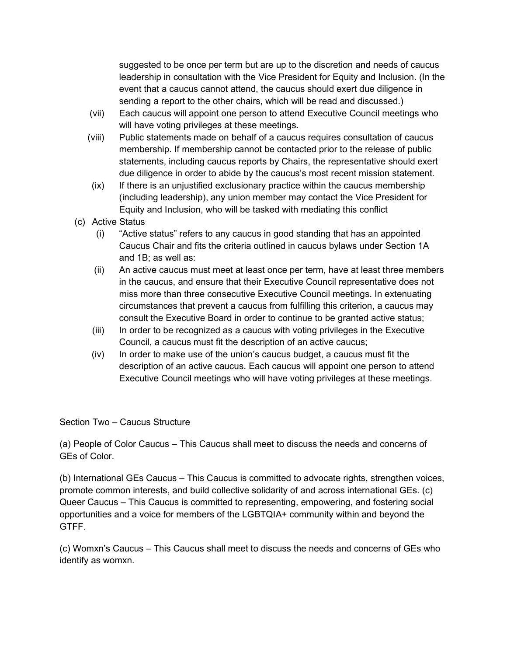suggested to be once per term but are up to the discretion and needs of caucus leadership in consultation with the Vice President for Equity and Inclusion. (In the event that a caucus cannot attend, the caucus should exert due diligence in sending a report to the other chairs, which will be read and discussed.)

- (vii) Each caucus will appoint one person to attend Executive Council meetings who will have voting privileges at these meetings.
- (viii) Public statements made on behalf of a caucus requires consultation of caucus membership. If membership cannot be contacted prior to the release of public statements, including caucus reports by Chairs, the representative should exert due diligence in order to abide by the caucus's most recent mission statement.
- $(ix)$  If there is an unjustified exclusionary practice within the caucus membership (including leadership), any union member may contact the Vice President for Equity and Inclusion, who will be tasked with mediating this conflict
- (c) Active Status
	- (i) "Active status" refers to any caucus in good standing that has an appointed Caucus Chair and fits the criteria outlined in caucus bylaws under Section 1A and 1B; as well as:
	- (ii) An active caucus must meet at least once per term, have at least three members in the caucus, and ensure that their Executive Council representative does not miss more than three consecutive Executive Council meetings. In extenuating circumstances that prevent a caucus from fulfilling this criterion, a caucus may consult the Executive Board in order to continue to be granted active status;
	- (iii) In order to be recognized as a caucus with voting privileges in the Executive Council, a caucus must fit the description of an active caucus;
	- (iv) In order to make use of the union's caucus budget, a caucus must fit the description of an active caucus. Each caucus will appoint one person to attend Executive Council meetings who will have voting privileges at these meetings.

Section Two – Caucus Structure

(a) People of Color Caucus – This Caucus shall meet to discuss the needs and concerns of GEs of Color.

(b) International GEs Caucus – This Caucus is committed to advocate rights, strengthen voices, promote common interests, and build collective solidarity of and across international GEs. (c) Queer Caucus – This Caucus is committed to representing, empowering, and fostering social opportunities and a voice for members of the LGBTQIA+ community within and beyond the GTFF.

(c) Womxn's Caucus – This Caucus shall meet to discuss the needs and concerns of GEs who identify as womxn.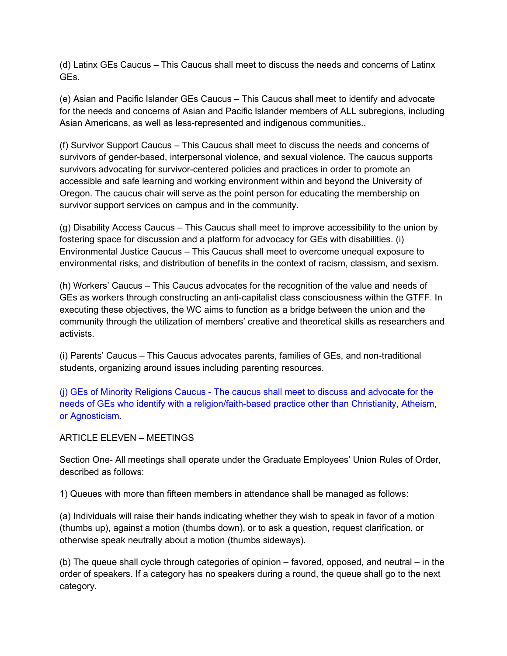(d) Latinx GEs Caucus – This Caucus shall meet to discuss the needs and concerns of Latinx GEs.

(e) Asian and Pacific Islander GEs Caucus – This Caucus shall meet to identify and advocate for the needs and concerns of Asian and Pacific Islander members of ALL subregions, including Asian Americans, as well as less-represented and indigenous communities..

(f) Survivor Support Caucus – This Caucus shall meet to discuss the needs and concerns of survivors of gender-based, interpersonal violence, and sexual violence. The caucus supports survivors advocating for survivor-centered policies and practices in order to promote an accessible and safe learning and working environment within and beyond the University of Oregon. The caucus chair will serve as the point person for educating the membership on survivor support services on campus and in the community.

(g) Disability Access Caucus – This Caucus shall meet to improve accessibility to the union by fostering space for discussion and a platform for advocacy for GEs with disabilities. (i) Environmental Justice Caucus – This Caucus shall meet to overcome unequal exposure to environmental risks, and distribution of benefits in the context of racism, classism, and sexism.

(h) Workers' Caucus – This Caucus advocates for the recognition of the value and needs of GEs as workers through constructing an anti-capitalist class consciousness within the GTFF. In executing these objectives, the WC aims to function as a bridge between the union and the community through the utilization of members' creative and theoretical skills as researchers and activists.

(i) Parents' Caucus – This Caucus advocates parents, families of GEs, and non-traditional students, organizing around issues including parenting resources.

(j) GEs of Minority Religions Caucus - The caucus shall meet to discuss and advocate for the needs of GEs who identify with a religion/faith-based practice other than Christianity, Atheism, or Agnosticism.

ARTICLE ELEVEN – MEETINGS

Section One- All meetings shall operate under the Graduate Employees' Union Rules of Order, described as follows:

1) Queues with more than fifteen members in attendance shall be managed as follows:

(a) Individuals will raise their hands indicating whether they wish to speak in favor of a motion (thumbs up), against a motion (thumbs down), or to ask a question, request clarification, or otherwise speak neutrally about a motion (thumbs sideways).

(b) The queue shall cycle through categories of opinion – favored, opposed, and neutral – in the order of speakers. If a category has no speakers during a round, the queue shall go to the next category.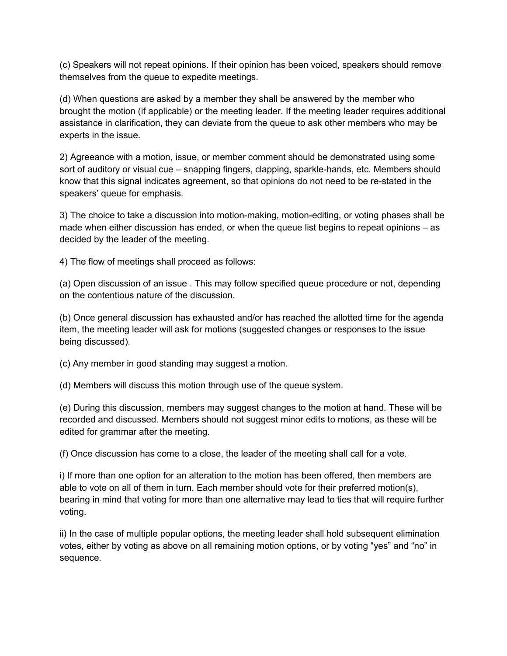(c) Speakers will not repeat opinions. If their opinion has been voiced, speakers should remove themselves from the queue to expedite meetings.

(d) When questions are asked by a member they shall be answered by the member who brought the motion (if applicable) or the meeting leader. If the meeting leader requires additional assistance in clarification, they can deviate from the queue to ask other members who may be experts in the issue.

2) Agreeance with a motion, issue, or member comment should be demonstrated using some sort of auditory or visual cue – snapping fingers, clapping, sparkle-hands, etc. Members should know that this signal indicates agreement, so that opinions do not need to be re-stated in the speakers' queue for emphasis.

3) The choice to take a discussion into motion-making, motion-editing, or voting phases shall be made when either discussion has ended, or when the queue list begins to repeat opinions – as decided by the leader of the meeting.

4) The flow of meetings shall proceed as follows:

(a) Open discussion of an issue . This may follow specified queue procedure or not, depending on the contentious nature of the discussion.

(b) Once general discussion has exhausted and/or has reached the allotted time for the agenda item, the meeting leader will ask for motions (suggested changes or responses to the issue being discussed).

(c) Any member in good standing may suggest a motion.

(d) Members will discuss this motion through use of the queue system.

(e) During this discussion, members may suggest changes to the motion at hand. These will be recorded and discussed. Members should not suggest minor edits to motions, as these will be edited for grammar after the meeting.

(f) Once discussion has come to a close, the leader of the meeting shall call for a vote.

i) If more than one option for an alteration to the motion has been offered, then members are able to vote on all of them in turn. Each member should vote for their preferred motion(s), bearing in mind that voting for more than one alternative may lead to ties that will require further voting.

ii) In the case of multiple popular options, the meeting leader shall hold subsequent elimination votes, either by voting as above on all remaining motion options, or by voting "yes" and "no" in sequence.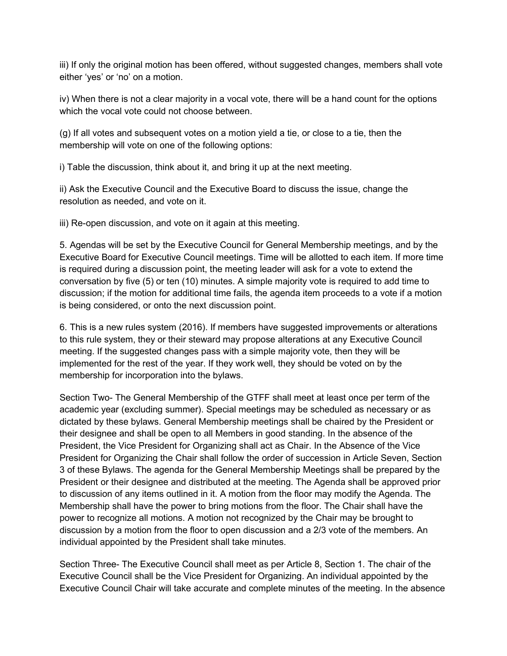iii) If only the original motion has been offered, without suggested changes, members shall vote either 'yes' or 'no' on a motion.

iv) When there is not a clear majority in a vocal vote, there will be a hand count for the options which the vocal vote could not choose between.

(g) If all votes and subsequent votes on a motion yield a tie, or close to a tie, then the membership will vote on one of the following options:

i) Table the discussion, think about it, and bring it up at the next meeting.

ii) Ask the Executive Council and the Executive Board to discuss the issue, change the resolution as needed, and vote on it.

iii) Re-open discussion, and vote on it again at this meeting.

5. Agendas will be set by the Executive Council for General Membership meetings, and by the Executive Board for Executive Council meetings. Time will be allotted to each item. If more time is required during a discussion point, the meeting leader will ask for a vote to extend the conversation by five (5) or ten (10) minutes. A simple majority vote is required to add time to discussion; if the motion for additional time fails, the agenda item proceeds to a vote if a motion is being considered, or onto the next discussion point.

6. This is a new rules system (2016). If members have suggested improvements or alterations to this rule system, they or their steward may propose alterations at any Executive Council meeting. If the suggested changes pass with a simple majority vote, then they will be implemented for the rest of the year. If they work well, they should be voted on by the membership for incorporation into the bylaws.

Section Two- The General Membership of the GTFF shall meet at least once per term of the academic year (excluding summer). Special meetings may be scheduled as necessary or as dictated by these bylaws. General Membership meetings shall be chaired by the President or their designee and shall be open to all Members in good standing. In the absence of the President, the Vice President for Organizing shall act as Chair. In the Absence of the Vice President for Organizing the Chair shall follow the order of succession in Article Seven, Section 3 of these Bylaws. The agenda for the General Membership Meetings shall be prepared by the President or their designee and distributed at the meeting. The Agenda shall be approved prior to discussion of any items outlined in it. A motion from the floor may modify the Agenda. The Membership shall have the power to bring motions from the floor. The Chair shall have the power to recognize all motions. A motion not recognized by the Chair may be brought to discussion by a motion from the floor to open discussion and a 2/3 vote of the members. An individual appointed by the President shall take minutes.

Section Three- The Executive Council shall meet as per Article 8, Section 1. The chair of the Executive Council shall be the Vice President for Organizing. An individual appointed by the Executive Council Chair will take accurate and complete minutes of the meeting. In the absence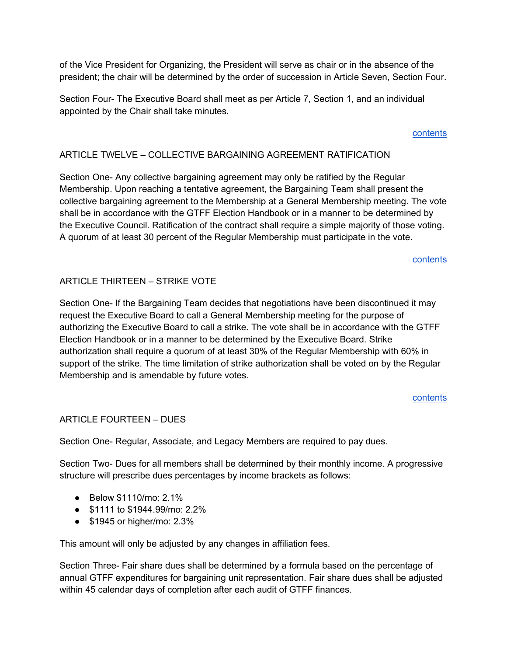of the Vice President for Organizing, the President will serve as chair or in the absence of the president; the chair will be determined by the order of succession in Article Seven, Section Four.

Section Four- The Executive Board shall meet as per Article 7, Section 1, and an individual appointed by the Chair shall take minutes.

## contents

## ARTICLE TWELVE – COLLECTIVE BARGAINING AGREEMENT RATIFICATION

Section One- Any collective bargaining agreement may only be ratified by the Regular Membership. Upon reaching a tentative agreement, the Bargaining Team shall present the collective bargaining agreement to the Membership at a General Membership meeting. The vote shall be in accordance with the GTFF Election Handbook or in a manner to be determined by the Executive Council. Ratification of the contract shall require a simple majority of those voting. A quorum of at least 30 percent of the Regular Membership must participate in the vote.

#### contents

## ARTICLE THIRTEEN – STRIKE VOTE

Section One- If the Bargaining Team decides that negotiations have been discontinued it may request the Executive Board to call a General Membership meeting for the purpose of authorizing the Executive Board to call a strike. The vote shall be in accordance with the GTFF Election Handbook or in a manner to be determined by the Executive Board. Strike authorization shall require a quorum of at least 30% of the Regular Membership with 60% in support of the strike. The time limitation of strike authorization shall be voted on by the Regular Membership and is amendable by future votes.

#### contents

## ARTICLE FOURTEEN – DUES

Section One- Regular, Associate, and Legacy Members are required to pay dues.

Section Two- Dues for all members shall be determined by their monthly income. A progressive structure will prescribe dues percentages by income brackets as follows:

- Below \$1110/mo: 2.1%
- \$1111 to \$1944.99/mo: 2.2%
- \$1945 or higher/mo: 2.3%

This amount will only be adjusted by any changes in affiliation fees.

Section Three- Fair share dues shall be determined by a formula based on the percentage of annual GTFF expenditures for bargaining unit representation. Fair share dues shall be adjusted within 45 calendar days of completion after each audit of GTFF finances.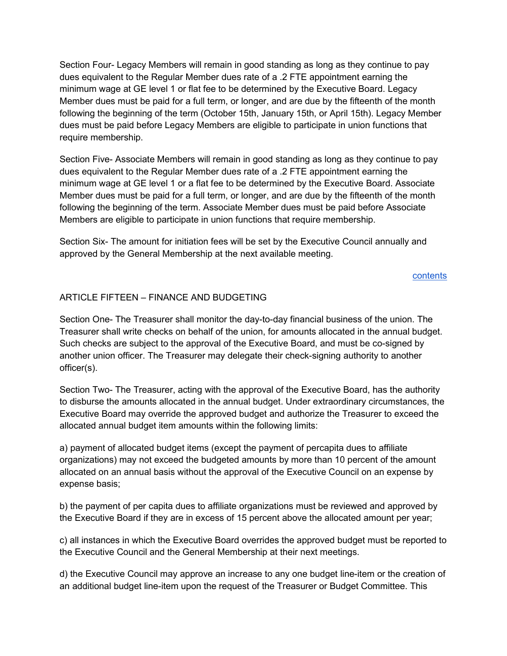Section Four- Legacy Members will remain in good standing as long as they continue to pay dues equivalent to the Regular Member dues rate of a .2 FTE appointment earning the minimum wage at GE level 1 or flat fee to be determined by the Executive Board. Legacy Member dues must be paid for a full term, or longer, and are due by the fifteenth of the month following the beginning of the term (October 15th, January 15th, or April 15th). Legacy Member dues must be paid before Legacy Members are eligible to participate in union functions that require membership.

Section Five- Associate Members will remain in good standing as long as they continue to pay dues equivalent to the Regular Member dues rate of a .2 FTE appointment earning the minimum wage at GE level 1 or a flat fee to be determined by the Executive Board. Associate Member dues must be paid for a full term, or longer, and are due by the fifteenth of the month following the beginning of the term. Associate Member dues must be paid before Associate Members are eligible to participate in union functions that require membership.

Section Six- The amount for initiation fees will be set by the Executive Council annually and approved by the General Membership at the next available meeting.

#### contents

## ARTICLE FIFTEEN – FINANCE AND BUDGETING

Section One- The Treasurer shall monitor the day-to-day financial business of the union. The Treasurer shall write checks on behalf of the union, for amounts allocated in the annual budget. Such checks are subject to the approval of the Executive Board, and must be co-signed by another union officer. The Treasurer may delegate their check-signing authority to another officer(s).

Section Two- The Treasurer, acting with the approval of the Executive Board, has the authority to disburse the amounts allocated in the annual budget. Under extraordinary circumstances, the Executive Board may override the approved budget and authorize the Treasurer to exceed the allocated annual budget item amounts within the following limits:

a) payment of allocated budget items (except the payment of percapita dues to affiliate organizations) may not exceed the budgeted amounts by more than 10 percent of the amount allocated on an annual basis without the approval of the Executive Council on an expense by expense basis;

b) the payment of per capita dues to affiliate organizations must be reviewed and approved by the Executive Board if they are in excess of 15 percent above the allocated amount per year;

c) all instances in which the Executive Board overrides the approved budget must be reported to the Executive Council and the General Membership at their next meetings.

d) the Executive Council may approve an increase to any one budget line-item or the creation of an additional budget line-item upon the request of the Treasurer or Budget Committee. This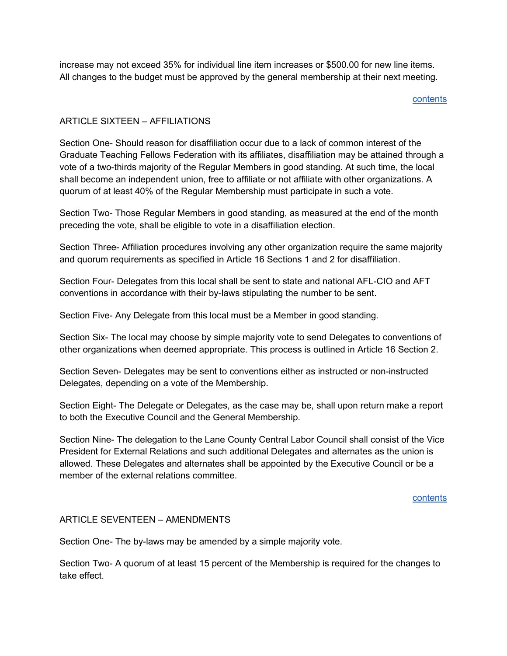increase may not exceed 35% for individual line item increases or \$500.00 for new line items. All changes to the budget must be approved by the general membership at their next meeting.

#### contents

## ARTICLE SIXTEEN – AFFILIATIONS

Section One- Should reason for disaffiliation occur due to a lack of common interest of the Graduate Teaching Fellows Federation with its affiliates, disaffiliation may be attained through a vote of a two-thirds majority of the Regular Members in good standing. At such time, the local shall become an independent union, free to affiliate or not affiliate with other organizations. A quorum of at least 40% of the Regular Membership must participate in such a vote.

Section Two- Those Regular Members in good standing, as measured at the end of the month preceding the vote, shall be eligible to vote in a disaffiliation election.

Section Three- Affiliation procedures involving any other organization require the same majority and quorum requirements as specified in Article 16 Sections 1 and 2 for disaffiliation.

Section Four- Delegates from this local shall be sent to state and national AFL-CIO and AFT conventions in accordance with their by-laws stipulating the number to be sent.

Section Five- Any Delegate from this local must be a Member in good standing.

Section Six- The local may choose by simple majority vote to send Delegates to conventions of other organizations when deemed appropriate. This process is outlined in Article 16 Section 2.

Section Seven- Delegates may be sent to conventions either as instructed or non-instructed Delegates, depending on a vote of the Membership.

Section Eight- The Delegate or Delegates, as the case may be, shall upon return make a report to both the Executive Council and the General Membership.

Section Nine- The delegation to the Lane County Central Labor Council shall consist of the Vice President for External Relations and such additional Delegates and alternates as the union is allowed. These Delegates and alternates shall be appointed by the Executive Council or be a member of the external relations committee.

contents

#### ARTICLE SEVENTEEN – AMENDMENTS

Section One- The by-laws may be amended by a simple majority vote.

Section Two- A quorum of at least 15 percent of the Membership is required for the changes to take effect.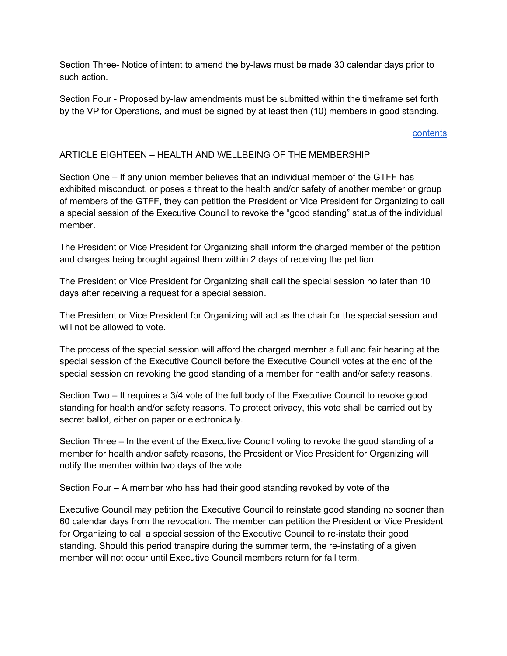Section Three- Notice of intent to amend the by-laws must be made 30 calendar days prior to such action.

Section Four - Proposed by-law amendments must be submitted within the timeframe set forth by the VP for Operations, and must be signed by at least then (10) members in good standing.

#### contents

## ARTICLE EIGHTEEN – HEALTH AND WELLBEING OF THE MEMBERSHIP

Section One – If any union member believes that an individual member of the GTFF has exhibited misconduct, or poses a threat to the health and/or safety of another member or group of members of the GTFF, they can petition the President or Vice President for Organizing to call a special session of the Executive Council to revoke the "good standing" status of the individual member.

The President or Vice President for Organizing shall inform the charged member of the petition and charges being brought against them within 2 days of receiving the petition.

The President or Vice President for Organizing shall call the special session no later than 10 days after receiving a request for a special session.

The President or Vice President for Organizing will act as the chair for the special session and will not be allowed to vote.

The process of the special session will afford the charged member a full and fair hearing at the special session of the Executive Council before the Executive Council votes at the end of the special session on revoking the good standing of a member for health and/or safety reasons.

Section Two – It requires a 3/4 vote of the full body of the Executive Council to revoke good standing for health and/or safety reasons. To protect privacy, this vote shall be carried out by secret ballot, either on paper or electronically.

Section Three – In the event of the Executive Council voting to revoke the good standing of a member for health and/or safety reasons, the President or Vice President for Organizing will notify the member within two days of the vote.

Section Four – A member who has had their good standing revoked by vote of the

Executive Council may petition the Executive Council to reinstate good standing no sooner than 60 calendar days from the revocation. The member can petition the President or Vice President for Organizing to call a special session of the Executive Council to re-instate their good standing. Should this period transpire during the summer term, the re-instating of a given member will not occur until Executive Council members return for fall term.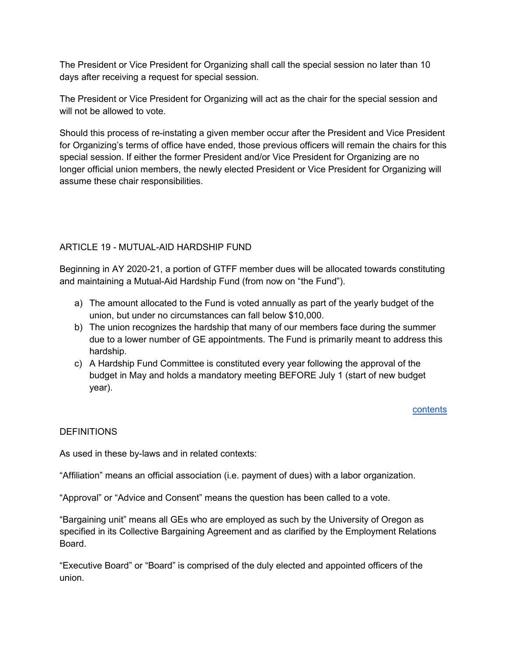The President or Vice President for Organizing shall call the special session no later than 10 days after receiving a request for special session.

The President or Vice President for Organizing will act as the chair for the special session and will not be allowed to vote.

Should this process of re-instating a given member occur after the President and Vice President for Organizing's terms of office have ended, those previous officers will remain the chairs for this special session. If either the former President and/or Vice President for Organizing are no longer official union members, the newly elected President or Vice President for Organizing will assume these chair responsibilities.

## ARTICLE 19 - MUTUAL-AID HARDSHIP FUND

Beginning in AY 2020-21, a portion of GTFF member dues will be allocated towards constituting and maintaining a Mutual-Aid Hardship Fund (from now on "the Fund").

- a) The amount allocated to the Fund is voted annually as part of the yearly budget of the union, but under no circumstances can fall below \$10,000.
- b) The union recognizes the hardship that many of our members face during the summer due to a lower number of GE appointments. The Fund is primarily meant to address this hardship.
- c) A Hardship Fund Committee is constituted every year following the approval of the budget in May and holds a mandatory meeting BEFORE July 1 (start of new budget year).

## contents

## **DEFINITIONS**

As used in these by-laws and in related contexts:

"Affiliation" means an official association (i.e. payment of dues) with a labor organization.

"Approval" or "Advice and Consent" means the question has been called to a vote.

"Bargaining unit" means all GEs who are employed as such by the University of Oregon as specified in its Collective Bargaining Agreement and as clarified by the Employment Relations Board.

"Executive Board" or "Board" is comprised of the duly elected and appointed officers of the union.